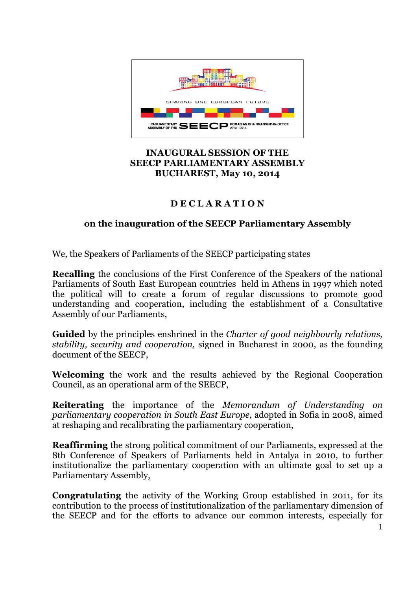

## **INAUGURAL SESSION OF THE SEECP PARLIAMENTARY ASSEMBLY BUCHAREST, May 10, 2014**

## **D E C L A R A T I O N**

## **on the inauguration of the SEECP Parliamentary Assembly**

We, the Speakers of Parliaments of the SEECP participating states

**Recalling** the conclusions of the First Conference of the Speakers of the national Parliaments of South East European countries held in Athens in 1997 which noted the political will to create a forum of regular discussions to promote good understanding and cooperation, including the establishment of a Consultative Assembly of our Parliaments,

**Guided** by the principles enshrined in the *Charter of good neighbourly relations, stability, security and cooperation,* signed in Bucharest in 2000, as the founding document of the SEECP,

**Welcoming** the work and the results achieved by the Regional Cooperation Council, as an operational arm of the SEECP,

**Reiterating** the importance of the *Memorandum of Understanding on parliamentary cooperation in South East Europe*, adopted in Sofia in 2008, aimed at reshaping and recalibrating the parliamentary cooperation,

**Reaffirming** the strong political commitment of our Parliaments, expressed at the 8th Conference of Speakers of Parliaments held in Antalya in 2010, to further institutionalize the parliamentary cooperation with an ultimate goal to set up a Parliamentary Assembly,

**Congratulating** the activity of the Working Group established in 2011, for its contribution to the process of institutionalization of the parliamentary dimension of the SEECP and for the efforts to advance our common interests, especially for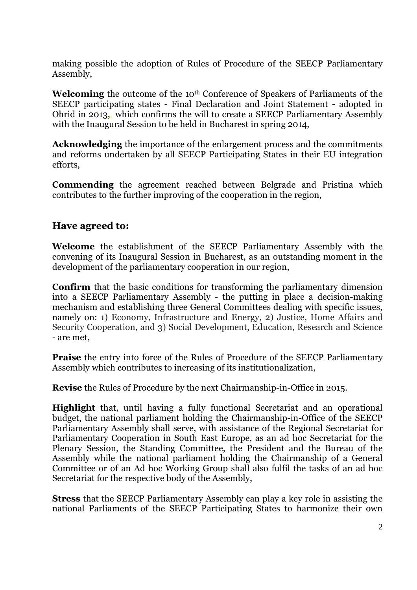making possible the adoption of Rules of Procedure of the SEECP Parliamentary Assembly,

Welcoming the outcome of the 10<sup>th</sup> Conference of Speakers of Parliaments of the SEECP participating states - Final Declaration and Joint Statement - adopted in Ohrid in 2013,, which confirms the will to create a SEECP Parliamentary Assembly with the Inaugural Session to be held in Bucharest in spring 2014,

**Acknowledging** the importance of the enlargement process and the commitments and reforms undertaken by all SEECP Participating States in their EU integration efforts,

**Commending** the agreement reached between Belgrade and Pristina which contributes to the further improving of the cooperation in the region,

## **Have agreed to:**

**Welcome** the establishment of the SEECP Parliamentary Assembly with the convening of its Inaugural Session in Bucharest, as an outstanding moment in the development of the parliamentary cooperation in our region,

**Confirm** that the basic conditions for transforming the parliamentary dimension into a SEECP Parliamentary Assembly - the putting in place a decision-making mechanism and establishing three General Committees dealing with specific issues, namely on: 1) Economy, Infrastructure and Energy, 2) Justice, Home Affairs and Security Cooperation, and 3) Social Development, Education, Research and Science - are met,

**Praise** the entry into force of the Rules of Procedure of the SEECP Parliamentary Assembly which contributes to increasing of its institutionalization,

**Revise** the Rules of Procedure by the next Chairmanship-in-Office in 2015.

**Highlight** that, until having a fully functional Secretariat and an operational budget, the national parliament holding the Chairmanship-in-Office of the SEECP Parliamentary Assembly shall serve, with assistance of the Regional Secretariat for Parliamentary Cooperation in South East Europe, as an ad hoc Secretariat for the Plenary Session, the Standing Committee, the President and the Bureau of the Assembly while the national parliament holding the Chairmanship of a General Committee or of an Ad hoc Working Group shall also fulfil the tasks of an ad hoc Secretariat for the respective body of the Assembly,

**Stress** that the SEECP Parliamentary Assembly can play a key role in assisting the national Parliaments of the SEECP Participating States to harmonize their own